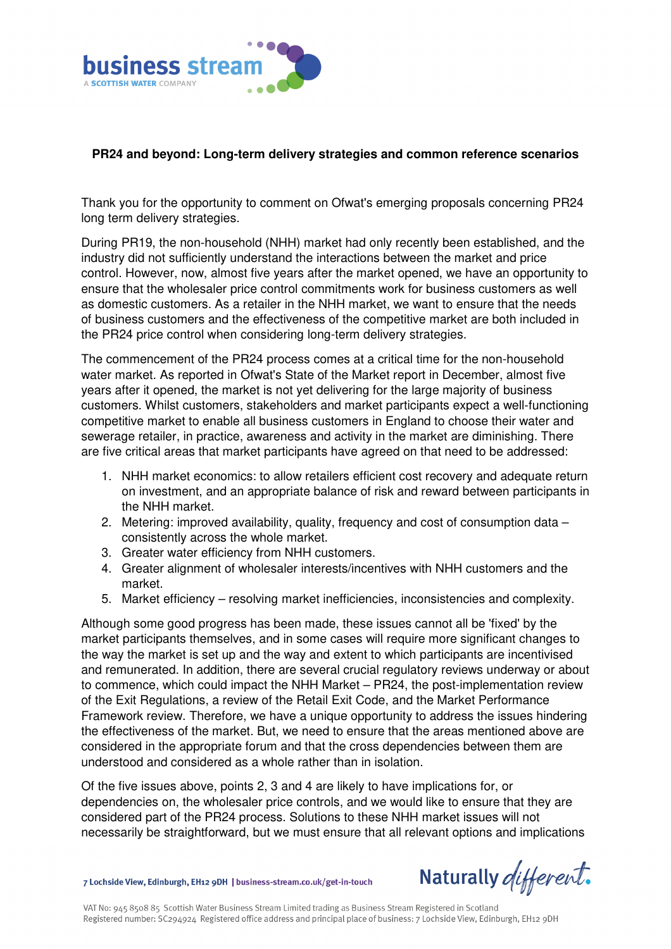

## **PR24 and beyond: Long-term delivery strategies and common reference scenarios**

Thank you for the opportunity to comment on Ofwat's emerging proposals concerning PR24 long term delivery strategies.

During PR19, the non-household (NHH) market had only recently been established, and the industry did not sufficiently understand the interactions between the market and price control. However, now, almost five years after the market opened, we have an opportunity to ensure that the wholesaler price control commitments work for business customers as well as domestic customers. As a retailer in the NHH market, we want to ensure that the needs of business customers and the effectiveness of the competitive market are both included in the PR24 price control when considering long-term delivery strategies.

The commencement of the PR24 process comes at a critical time for the non-household water market. As reported in Ofwat's State of the Market report in December, almost five years after it opened, the market is not yet delivering for the large majority of business customers. Whilst customers, stakeholders and market participants expect a well-functioning competitive market to enable all business customers in England to choose their water and sewerage retailer, in practice, awareness and activity in the market are diminishing. There are five critical areas that market participants have agreed on that need to be addressed:

- 1. NHH market economics: to allow retailers efficient cost recovery and adequate return on investment, and an appropriate balance of risk and reward between participants in the NHH market.
- 2. Metering: improved availability, quality, frequency and cost of consumption data consistently across the whole market.
- 3. Greater water efficiency from NHH customers.
- 4. Greater alignment of wholesaler interests/incentives with NHH customers and the market.
- 5. Market efficiency resolving market inefficiencies, inconsistencies and complexity.

Although some good progress has been made, these issues cannot all be 'fixed' by the market participants themselves, and in some cases will require more significant changes to the way the market is set up and the way and extent to which participants are incentivised and remunerated. In addition, there are several crucial regulatory reviews underway or about to commence, which could impact the NHH Market – PR24, the post-implementation review of the Exit Regulations, a review of the Retail Exit Code, and the Market Performance Framework review. Therefore, we have a unique opportunity to address the issues hindering the effectiveness of the market. But, we need to ensure that the areas mentioned above are considered in the appropriate forum and that the cross dependencies between them are understood and considered as a whole rather than in isolation.

Of the five issues above, points 2, 3 and 4 are likely to have implications for, or dependencies on, the wholesaler price controls, and we would like to ensure that they are considered part of the PR24 process. Solutions to these NHH market issues will not necessarily be straightforward, but we must ensure that all relevant options and implications

7 Lochside View, Edinburgh, EH12 9DH | business-stream.co.uk/get-in-touch

Naturally different.